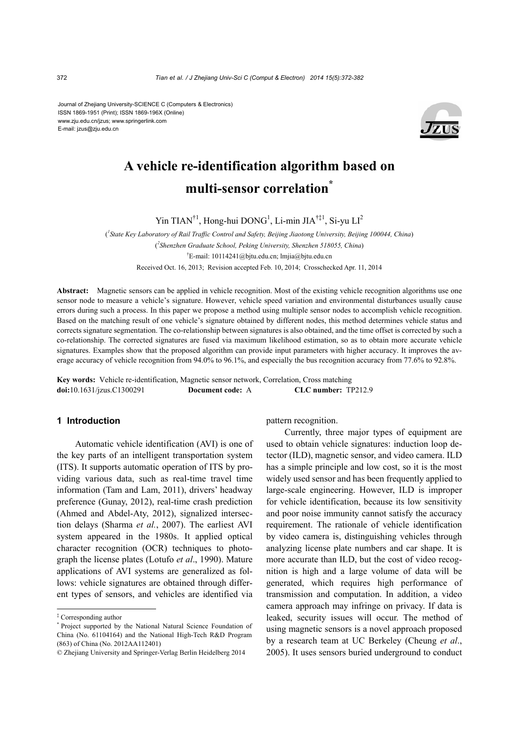Journal of Zhejiang University-SCIENCE C (Computers & Electronics) ISSN 1869-1951 (Print); ISSN 1869-196X (Online) www.zju.edu.cn/jzus; www.springerlink.com E-mail: jzus@zju.edu.cn



# **A vehicle re-identification algorithm based on multi-sensor correlation\***

Yin TIAN<sup>†1</sup>, Hong-hui DONG<sup>1</sup>, Li-min JIA<sup>†‡1</sup>, Si-yu LI<sup>2</sup>

( *1 State Key Laboratory of Rail Traffic Control and Safety, Beijing Jiaotong University, Beijing 100044, China*) ( *2 Shenzhen Graduate School, Peking University, Shenzhen 518055, China*) † E-mail: 10114241@bjtu.edu.cn; lmjia@bjtu.edu.cn Received Oct. 16, 2013; Revision accepted Feb. 10, 2014; Crosschecked Apr. 11, 2014

**Abstract:** Magnetic sensors can be applied in vehicle recognition. Most of the existing vehicle recognition algorithms use one sensor node to measure a vehicle's signature. However, vehicle speed variation and environmental disturbances usually cause errors during such a process. In this paper we propose a method using multiple sensor nodes to accomplish vehicle recognition. Based on the matching result of one vehicle's signature obtained by different nodes, this method determines vehicle status and corrects signature segmentation. The co-relationship between signatures is also obtained, and the time offset is corrected by such a co-relationship. The corrected signatures are fused via maximum likelihood estimation, so as to obtain more accurate vehicle signatures. Examples show that the proposed algorithm can provide input parameters with higher accuracy. It improves the average accuracy of vehicle recognition from 94.0% to 96.1%, and especially the bus recognition accuracy from 77.6% to 92.8%.

**Key words:** Vehicle re-identification, Magnetic sensor network, Correlation, Cross matching **doi:**10.1631/jzus.C1300291 **Document code:** A **CLC number:** TP212.9

# **1 Introduction**

Automatic vehicle identification (AVI) is one of the key parts of an intelligent transportation system (ITS). It supports automatic operation of ITS by providing various data, such as real-time travel time information (Tam and Lam, 2011), drivers' headway preference (Gunay, 2012), real-time crash prediction (Ahmed and Abdel-Aty, 2012), signalized intersection delays (Sharma *et al.*, 2007). The earliest AVI system appeared in the 1980s. It applied optical character recognition (OCR) techniques to photograph the license plates (Lotufo *et al*., 1990). Mature applications of AVI systems are generalized as follows: vehicle signatures are obtained through different types of sensors, and vehicles are identified via pattern recognition.

Currently, three major types of equipment are used to obtain vehicle signatures: induction loop detector (ILD), magnetic sensor, and video camera. ILD has a simple principle and low cost, so it is the most widely used sensor and has been frequently applied to large-scale engineering. However, ILD is improper for vehicle identification, because its low sensitivity and poor noise immunity cannot satisfy the accuracy requirement. The rationale of vehicle identification by video camera is, distinguishing vehicles through analyzing license plate numbers and car shape. It is more accurate than ILD, but the cost of video recognition is high and a large volume of data will be generated, which requires high performance of transmission and computation. In addition, a video camera approach may infringe on privacy. If data is leaked, security issues will occur. The method of using magnetic sensors is a novel approach proposed by a research team at UC Berkeley (Cheung *et al*., 2005). It uses sensors buried underground to conduct

<sup>‡</sup> Corresponding author

<sup>\*</sup> Project supported by the National Natural Science Foundation of China (No. 61104164) and the National High-Tech R&D Program (863) of China (No. 2012AA112401)

<sup>©</sup> Zhejiang University and Springer-Verlag Berlin Heidelberg 2014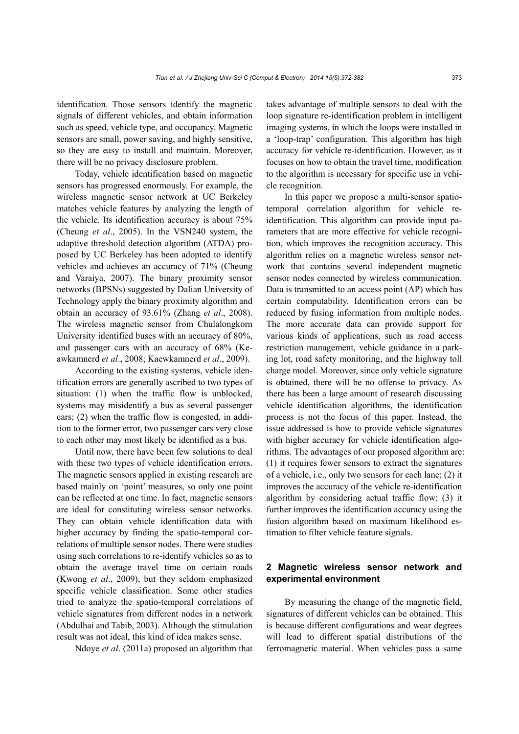identification. Those sensors identify the magnetic signals of different vehicles, and obtain information such as speed, vehicle type, and occupancy. Magnetic sensors are small, power saving, and highly sensitive, so they are easy to install and maintain. Moreover, there will be no privacy disclosure problem.

Today, vehicle identification based on magnetic sensors has progressed enormously. For example, the wireless magnetic sensor network at UC Berkeley matches vehicle features by analyzing the length of the vehicle. Its identification accuracy is about 75% (Cheung *et al*., 2005). In the VSN240 system, the adaptive threshold detection algorithm (ATDA) proposed by UC Berkeley has been adopted to identify vehicles and achieves an accuracy of 71% (Cheung and Varaiya, 2007). The binary proximity sensor networks (BPSNs) suggested by Dalian University of Technology apply the binary proximity algorithm and obtain an accuracy of 93.61% (Zhang *et al*., 2008). The wireless magnetic sensor from Chulalongkorn University identified buses with an accuracy of 80%, and passenger cars with an accuracy of 68% (Keawkamnerd *et al*., 2008; Kaewkamnerd *et al*., 2009).

According to the existing systems, vehicle identification errors are generally ascribed to two types of situation: (1) when the traffic flow is unblocked, systems may misidentify a bus as several passenger cars; (2) when the traffic flow is congested, in addition to the former error, two passenger cars very close to each other may most likely be identified as a bus.

Until now, there have been few solutions to deal with these two types of vehicle identification errors. The magnetic sensors applied in existing research are based mainly on 'point' measures, so only one point can be reflected at one time. In fact, magnetic sensors are ideal for constituting wireless sensor networks. They can obtain vehicle identification data with higher accuracy by finding the spatio-temporal correlations of multiple sensor nodes. There were studies using such correlations to re-identify vehicles so as to obtain the average travel time on certain roads (Kwong *et al*., 2009), but they seldom emphasized specific vehicle classification. Some other studies tried to analyze the spatio-temporal correlations of vehicle signatures from different nodes in a network (Abdulhai and Tabib, 2003). Although the stimulation result was not ideal, this kind of idea makes sense.

Ndoye *et al*. (2011a) proposed an algorithm that

takes advantage of multiple sensors to deal with the loop signature re-identification problem in intelligent imaging systems, in which the loops were installed in a 'loop-trap' configuration. This algorithm has high accuracy for vehicle re-identification. However, as it focuses on how to obtain the travel time, modification to the algorithm is necessary for specific use in vehicle recognition.

In this paper we propose a multi-sensor spatiotemporal correlation algorithm for vehicle reidentification. This algorithm can provide input parameters that are more effective for vehicle recognition, which improves the recognition accuracy. This algorithm relies on a magnetic wireless sensor network that contains several independent magnetic sensor nodes connected by wireless communication. Data is transmitted to an access point (AP) which has certain computability. Identification errors can be reduced by fusing information from multiple nodes. The more accurate data can provide support for various kinds of applications, such as road access restriction management, vehicle guidance in a parking lot, road safety monitoring, and the highway toll charge model. Moreover, since only vehicle signature is obtained, there will be no offense to privacy. As there has been a large amount of research discussing vehicle identification algorithms, the identification process is not the focus of this paper. Instead, the issue addressed is how to provide vehicle signatures with higher accuracy for vehicle identification algorithms. The advantages of our proposed algorithm are: (1) it requires fewer sensors to extract the signatures of a vehicle, i.e., only two sensors for each lane; (2) it improves the accuracy of the vehicle re-identification algorithm by considering actual traffic flow; (3) it further improves the identification accuracy using the fusion algorithm based on maximum likelihood estimation to filter vehicle feature signals.

# **2 Magnetic wireless sensor network and experimental environment**

By measuring the change of the magnetic field, signatures of different vehicles can be obtained. This is because different configurations and wear degrees will lead to different spatial distributions of the ferromagnetic material. When vehicles pass a same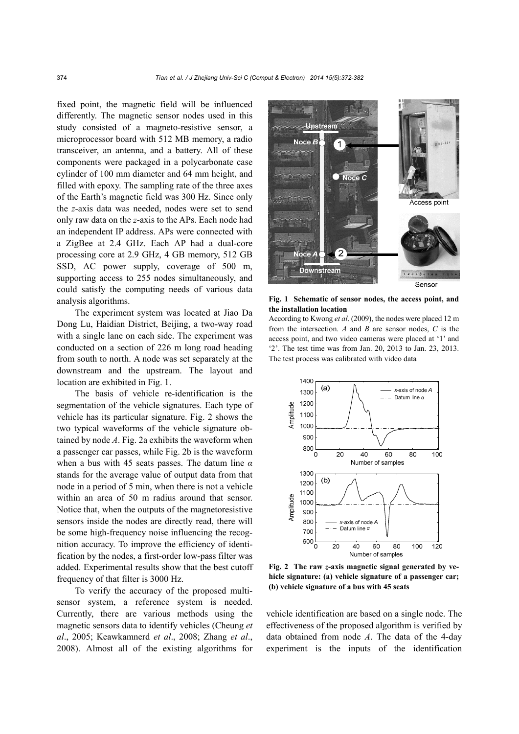fixed point, the magnetic field will be influenced differently. The magnetic sensor nodes used in this study consisted of a magneto-resistive sensor, a microprocessor board with 512 MB memory, a radio transceiver, an antenna, and a battery. All of these components were packaged in a polycarbonate case cylinder of 100 mm diameter and 64 mm height, and filled with epoxy. The sampling rate of the three axes of the Earth's magnetic field was 300 Hz. Since only the *z*-axis data was needed, nodes were set to send only raw data on the *z*-axis to the APs. Each node had an independent IP address. APs were connected with a ZigBee at 2.4 GHz. Each AP had a dual-core processing core at 2.9 GHz, 4 GB memory, 512 GB SSD, AC power supply, coverage of 500 m, supporting access to 255 nodes simultaneously, and could satisfy the computing needs of various data analysis algorithms.

The experiment system was located at Jiao Da Dong Lu, Haidian District, Beijing, a two-way road with a single lane on each side. The experiment was conducted on a section of 226 m long road heading from south to north. A node was set separately at the downstream and the upstream. The layout and location are exhibited in Fig. 1.

The basis of vehicle re-identification is the segmentation of the vehicle signatures. Each type of vehicle has its particular signature. Fig. 2 shows the two typical waveforms of the vehicle signature obtained by node *A*. Fig. 2a exhibits the waveform when a passenger car passes, while Fig. 2b is the waveform when a bus with 45 seats passes. The datum line *α* stands for the average value of output data from that node in a period of 5 min, when there is not a vehicle within an area of 50 m radius around that sensor. Notice that, when the outputs of the magnetoresistive sensors inside the nodes are directly read, there will be some high-frequency noise influencing the recognition accuracy. To improve the efficiency of identification by the nodes, a first-order low-pass filter was added. Experimental results show that the best cutoff frequency of that filter is 3000 Hz.

To verify the accuracy of the proposed multisensor system, a reference system is needed. Currently, there are various methods using the magnetic sensors data to identify vehicles (Cheung *et al*., 2005; Keawkamnerd *et al*., 2008; Zhang *et al*., 2008). Almost all of the existing algorithms for



**Fig. 1 Schematic of sensor nodes, the access point, and the installation location** 

According to Kwong *et al*. (2009), the nodes were placed 12 m from the intersection. *A* and *B* are sensor nodes, *C* is the access point, and two video cameras were placed at '1' and '2'. The test time was from Jan. 20, 2013 to Jan. 23, 2013. The test process was calibrated with video data



**Fig. 2 The raw** *z***-axis magnetic signal generated by vehicle signature: (a) vehicle signature of a passenger car; (b) vehicle signature of a bus with 45 seats** 

vehicle identification are based on a single node. The effectiveness of the proposed algorithm is verified by data obtained from node *A*. The data of the 4-day experiment is the inputs of the identification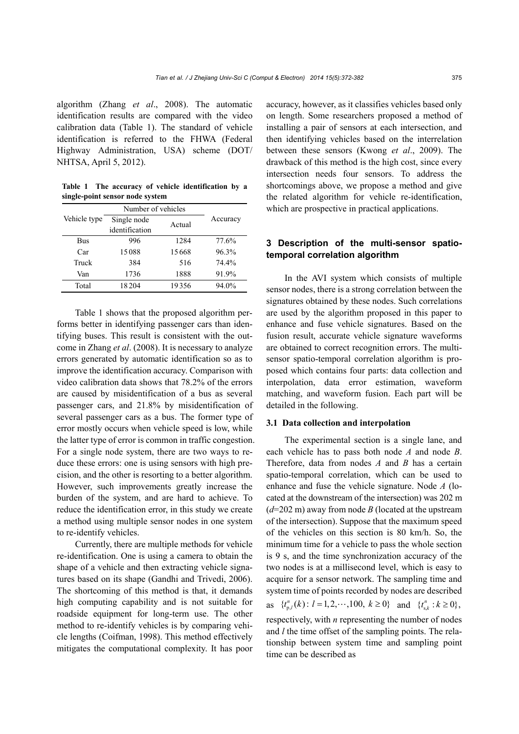algorithm (Zhang *et al*., 2008). The automatic identification results are compared with the video calibration data (Table 1). The standard of vehicle identification is referred to the FHWA (Federal Highway Administration, USA) scheme (DOT/ NHTSA, April 5, 2012).

**Table 1 The accuracy of vehicle identification by a single-point sensor node system** 

|              | Number of vehicles            |        |          |  |
|--------------|-------------------------------|--------|----------|--|
| Vehicle type | Single node<br>identification | Actual | Accuracy |  |
| <b>Bus</b>   | 996                           | 1284   | 77.6%    |  |
| Car          | 15088                         | 15668  | 96.3%    |  |
| Truck        | 384                           | 516    | 74.4%    |  |
| Van          | 1736                          | 1888   | 91.9%    |  |
| Total        | 18204                         | 19356  | 94.0%    |  |

Table 1 shows that the proposed algorithm performs better in identifying passenger cars than identifying buses. This result is consistent with the outcome in Zhang *et al*. (2008). It is necessary to analyze errors generated by automatic identification so as to improve the identification accuracy. Comparison with video calibration data shows that 78.2% of the errors are caused by misidentification of a bus as several passenger cars, and 21.8% by misidentification of several passenger cars as a bus. The former type of error mostly occurs when vehicle speed is low, while the latter type of error is common in traffic congestion. For a single node system, there are two ways to reduce these errors: one is using sensors with high precision, and the other is resorting to a better algorithm. However, such improvements greatly increase the burden of the system, and are hard to achieve. To reduce the identification error, in this study we create a method using multiple sensor nodes in one system to re-identify vehicles.

Currently, there are multiple methods for vehicle re-identification. One is using a camera to obtain the shape of a vehicle and then extracting vehicle signatures based on its shape (Gandhi and Trivedi, 2006). The shortcoming of this method is that, it demands high computing capability and is not suitable for roadside equipment for long-term use. The other method to re-identify vehicles is by comparing vehicle lengths (Coifman, 1998). This method effectively mitigates the computational complexity. It has poor

accuracy, however, as it classifies vehicles based only on length. Some researchers proposed a method of installing a pair of sensors at each intersection, and then identifying vehicles based on the interrelation between these sensors (Kwong *et al*., 2009). The drawback of this method is the high cost, since every intersection needs four sensors. To address the shortcomings above, we propose a method and give the related algorithm for vehicle re-identification, which are prospective in practical applications.

# **3 Description of the multi-sensor spatiotemporal correlation algorithm**

In the AVI system which consists of multiple sensor nodes, there is a strong correlation between the signatures obtained by these nodes. Such correlations are used by the algorithm proposed in this paper to enhance and fuse vehicle signatures. Based on the fusion result, accurate vehicle signature waveforms are obtained to correct recognition errors. The multisensor spatio-temporal correlation algorithm is proposed which contains four parts: data collection and interpolation, data error estimation, waveform matching, and waveform fusion. Each part will be detailed in the following.

#### **3.1 Data collection and interpolation**

time can be described as

The experimental section is a single lane, and each vehicle has to pass both node *A* and node *B*. Therefore, data from nodes *A* and *B* has a certain spatio-temporal correlation, which can be used to enhance and fuse the vehicle signature. Node *A* (located at the downstream of the intersection) was 202 m (*d*=202 m) away from node *B* (located at the upstream of the intersection). Suppose that the maximum speed of the vehicles on this section is 80 km/h. So, the minimum time for a vehicle to pass the whole section is 9 s, and the time synchronization accuracy of the two nodes is at a millisecond level, which is easy to acquire for a sensor network. The sampling time and system time of points recorded by nodes are described as  ${t^n_{p,l}}(k) : l = 1,2,\dots,100, k \ge 0}$  and  ${t^n_{s,k}} : k \ge 0}$ , respectively, with *n* representing the number of nodes and *l* the time offset of the sampling points. The relationship between system time and sampling point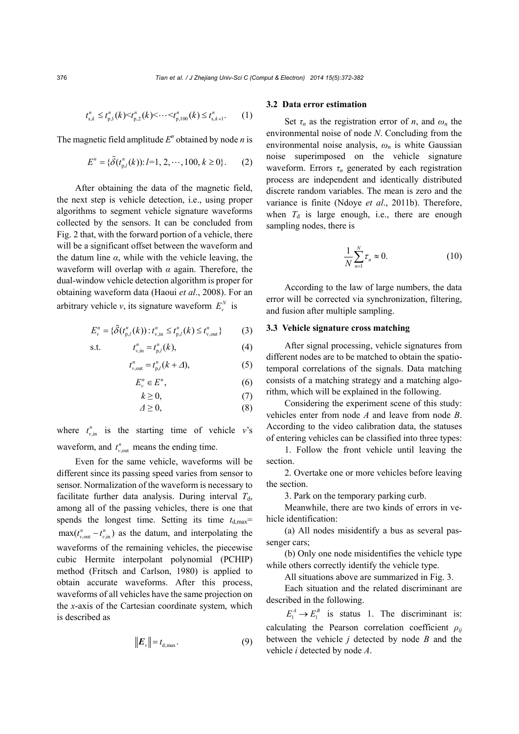$$
t_{s,k}^n \le t_{p,1}^n(k) < t_{p,2}^n(k) < \cdots < t_{p,100}^n(k) \le t_{s,k+1}^n. \tag{1}
$$

The magnetic field amplitude  $E<sup>n</sup>$  obtained by node *n* is

$$
E^{n} = \{\tilde{\delta}(t_{p,l}^{n}(k)) : l=1, 2, \cdots, 100, k \ge 0\}.
$$
 (2)

After obtaining the data of the magnetic field, the next step is vehicle detection, i.e., using proper algorithms to segment vehicle signature waveforms collected by the sensors. It can be concluded from Fig. 2 that, with the forward portion of a vehicle, there will be a significant offset between the waveform and the datum line  $\alpha$ , while with the vehicle leaving, the waveform will overlap with *α* again. Therefore, the dual-window vehicle detection algorithm is proper for obtaining waveform data (Haoui *et al*., 2008). For an arbitrary vehicle *v*, its signature waveform  $E_v^N$  is

$$
E_{\nu}^{n} = {\{\tilde{\delta}(t_{p,l}^{n}(k)) : t_{\nu, \text{in}}^{n} \le t_{p,l}^{n}(k) \le t_{\nu, \text{out}}^{n}\}}
$$
 (3)

s.t. 
$$
t_{\nu,in}^n = t_{p,l}^n(k)
$$
, (4)

$$
t_{\nu, \text{out}}^n = t_{\text{p},l}^n (k + \Delta), \tag{5}
$$

$$
E_{\nu}^{n} \in E^{n}, \tag{6}
$$

$$
k \geq 0,\tag{7}
$$

$$
\Delta \geq 0, \tag{8}
$$

where  $t_{v,in}^n$  is the starting time of vehicle *v*'s waveform, and  $t_{v,out}^n$  means the ending time.

Even for the same vehicle, waveforms will be different since its passing speed varies from sensor to sensor. Normalization of the waveform is necessary to facilitate further data analysis. During interval  $T<sub>d</sub>$ , among all of the passing vehicles, there is one that spends the longest time. Setting its time  $t_{d,max}$ =  $max(t_{v,out}^n - t_{v,in}^n)$  as the datum, and interpolating the waveforms of the remaining vehicles, the piecewise cubic Hermite interpolant polynomial (PCHIP) method (Fritsch and Carlson, 1980) is applied to obtain accurate waveforms. After this process, waveforms of all vehicles have the same projection on the *x*-axis of the Cartesian coordinate system, which is described as

$$
\|\boldsymbol{E}_{\nu}\| = t_{\text{d,max}}.\tag{9}
$$

#### **3.2 Data error estimation**

Set  $\tau_n$  as the registration error of *n*, and  $\omega_n$  the environmental noise of node *N*. Concluding from the environmental noise analysis, *ωn* is white Gaussian noise superimposed on the vehicle signature waveform. Errors  $\tau_n$  generated by each registration process are independent and identically distributed discrete random variables. The mean is zero and the variance is finite (Ndoye *et al*., 2011b). Therefore, when  $T_d$  is large enough, i.e., there are enough sampling nodes, there is

$$
\frac{1}{N} \sum_{n=1}^{N} \tau_n \approx 0.
$$
 (10)

According to the law of large numbers, the data error will be corrected via synchronization, filtering, and fusion after multiple sampling.

# **3.3 Vehicle signature cross matching**

After signal processing, vehicle signatures from different nodes are to be matched to obtain the spatiotemporal correlations of the signals. Data matching consists of a matching strategy and a matching algorithm, which will be explained in the following.

Considering the experiment scene of this study: vehicles enter from node *A* and leave from node *B*. According to the video calibration data, the statuses of entering vehicles can be classified into three types:

1. Follow the front vehicle until leaving the section.

2. Overtake one or more vehicles before leaving the section.

3. Park on the temporary parking curb.

Meanwhile, there are two kinds of errors in vehicle identification:

(a) All nodes misidentify a bus as several passenger cars;

(b) Only one node misidentifies the vehicle type while others correctly identify the vehicle type.

All situations above are summarized in Fig. 3.

Each situation and the related discriminant are described in the following.

 $E_1^A \rightarrow E_1^B$  is status 1. The discriminant is: calculating the Pearson correlation coefficient  $\rho_{ii}$ between the vehicle *j* detected by node *B* and the vehicle *i* detected by node *A*.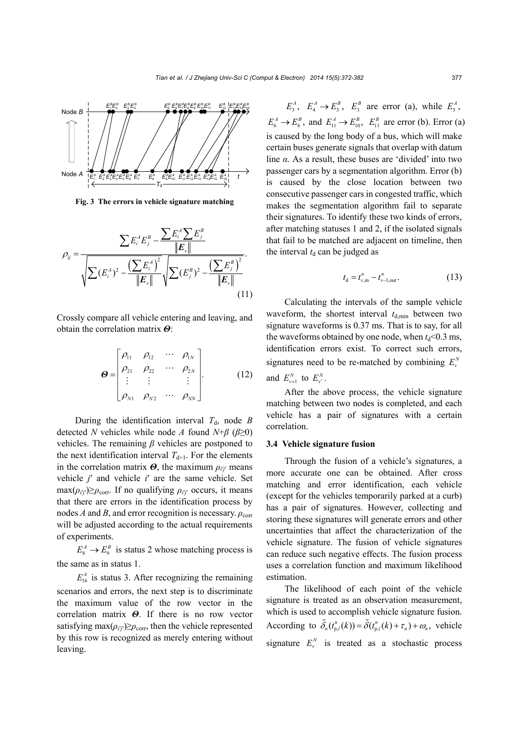

**Fig. 3 The errors in vehicle signature matching** 

$$
\rho_{ij} = \frac{\sum E_i^A \sum E_j^B}{\|\mathbf{E}_\nu\|} \cdot \frac{\sum E_i^A \sum E_j^B}{\|\mathbf{E}_\nu\|} \cdot \frac{\|\mathbf{E}_\nu\|}{\|\mathbf{E}_\nu\|} \cdot \frac{\|\sum E_i^A\|^2}{\|\mathbf{E}_\nu\|} \cdot \frac{\|\sum E_j^B\|^2}{\|\mathbf{E}_\nu\|} \cdot \frac{\|\sum E_j^B\|^2}{\|\mathbf{E}_\nu\|} \cdot (11)
$$

Crossly compare all vehicle entering and leaving, and obtain the correlation matrix *Θ*:

$$
\boldsymbol{\Theta} = \begin{bmatrix} \rho_{11} & \rho_{12} & \cdots & \rho_{1N} \\ \rho_{21} & \rho_{22} & \cdots & \rho_{2N} \\ \vdots & \vdots & & \vdots \\ \rho_{N1} & \rho_{N2} & \cdots & \rho_{NN} \end{bmatrix} .
$$
 (12)

During the identification interval  $T<sub>d</sub>$ , node *B* detected *N* vehicles while node *A* found *N*+*β* (*β*≥0) vehicles. The remaining *β* vehicles are postponed to the next identification interval  $T_{d+1}$ . For the elements in the correlation matrix  $\boldsymbol{\Theta}$ , the maximum  $\rho_{ij'}$  means vehicle *j*′ and vehicle *i*′ are the same vehicle. Set  $\max(\rho_{ij}) \geq \rho_{corr}$ . If no qualifying  $\rho_{ij'}$  occurs, it means that there are errors in the identification process by nodes *A* and *B*, and error recognition is necessary.  $\rho_{\text{corr}}$ will be adjusted according to the actual requirements of experiments.

 $E_8^A \rightarrow E_9^B$  is status 2 whose matching process is the same as in status 1.

 $E_{16}^A$  is status 3. After recognizing the remaining scenarios and errors, the next step is to discriminate the maximum value of the row vector in the correlation matrix *Θ*. If there is no row vector satisfying max $(\rho_{ij}) \geq \rho_{\text{corr}}$ , then the vehicle represented by this row is recognized as merely entering without leaving.

 $E_3^A$ ,  $E_4^A \rightarrow E_3^B$ ,  $E_3^B$  are error (a), while  $E_5^A$ ,  $E_6^A \rightarrow E_6^B$ , and  $E_{11}^A \rightarrow E_{10}^B$ ,  $E_{11}^B$  are error (b). Error (a) is caused by the long body of a bus, which will make certain buses generate signals that overlap with datum line *α*. As a result, these buses are 'divided' into two passenger cars by a segmentation algorithm. Error (b) is caused by the close location between two consecutive passenger cars in congested traffic, which makes the segmentation algorithm fail to separate their signatures. To identify these two kinds of errors, after matching statuses 1 and 2, if the isolated signals that fail to be matched are adjacent on timeline, then the interval  $t<sub>d</sub>$  can be judged as

$$
t_{\rm d} = t_{\nu, \rm in}^n - t_{\nu-1, \rm out}^n. \tag{13}
$$

Calculating the intervals of the sample vehicle waveform, the shortest interval  $t_{d,min}$  between two signature waveforms is 0.37 ms. That is to say, for all the waveforms obtained by one node, when  $t_d$ <0.3 ms, identification errors exist. To correct such errors, signatures need to be re-matched by combining  $E_{v}^{N}$  $\mathbf{a} = \mathbf{b}$ 

and 
$$
E_{\nu+1}^N
$$
 to  $E_{\nu'}^N$ .

After the above process, the vehicle signature matching between two nodes is completed, and each vehicle has a pair of signatures with a certain correlation.

#### **3.4 Vehicle signature fusion**

Through the fusion of a vehicle's signatures, a more accurate one can be obtained. After cross matching and error identification, each vehicle (except for the vehicles temporarily parked at a curb) has a pair of signatures. However, collecting and storing these signatures will generate errors and other uncertainties that affect the characterization of the vehicle signature. The fusion of vehicle signatures can reduce such negative effects. The fusion process uses a correlation function and maximum likelihood estimation.

The likelihood of each point of the vehicle signature is treated as an observation measurement, which is used to accomplish vehicle signature fusion. According to  $\tilde{\delta}_n ( t_{p,l}^n(k) ) = \tilde{\delta} ( t_{p,l}^n(k) + \tau_n ) + \omega_n$ , vehicle signature  $E_v^N$  is treated as a stochastic process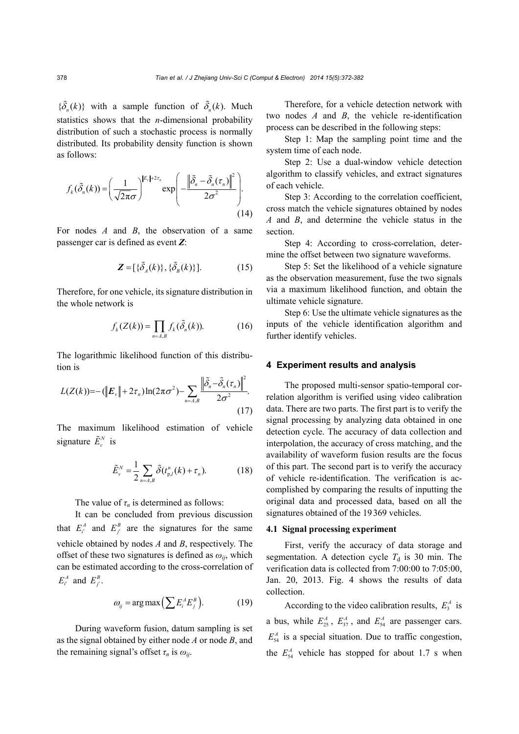$\{\tilde{\delta}_n(k)\}\$  with a sample function of  $\tilde{\delta}_n(k)$ . Much statistics shows that the *n*-dimensional probability distribution of such a stochastic process is normally distributed. Its probability density function is shown as follows:

$$
f_k(\tilde{\delta}_n(k)) = \left(\frac{1}{\sqrt{2\pi}\sigma}\right)^{||E_n|| + 2\tau_n} \exp\left(-\frac{\left\|\tilde{\delta}_n - \tilde{\delta}_n(\tau_n)\right\|^2}{2\sigma^2}\right).
$$
\n(14)

For nodes *A* and *B*, the observation of a same passenger car is defined as event *Z*:

$$
\mathbf{Z} = [\{\tilde{\delta}_A(k)\}, \{\tilde{\delta}_B(k)\}]. \tag{15}
$$

Therefore, for one vehicle, its signature distribution in the whole network is

$$
f_k(Z(k)) = \prod_{n=A,B} f_k(\tilde{\delta}_n(k)).
$$
 (16)

The logarithmic likelihood function of this distribution is

$$
L(Z(k)) = -\left(\left\|\boldsymbol{E}_{\boldsymbol{v}}\right\| + 2\tau_n\right)\ln(2\pi\sigma^2) - \sum_{n=A,B} \frac{\left\|\tilde{\delta}_n - \tilde{\delta}_n(\tau_n)\right\|^2}{2\sigma^2}.
$$
\n(17)

The maximum likelihood estimation of vehicle signature  $\tilde{E}_{\nu}^{N}$  is

$$
\tilde{E}_{\nu}^{N} = \frac{1}{2} \sum_{n=A,B} \tilde{\delta}(t_{p,l}^{n}(k) + \tau_{n}).
$$
\n(18)

The value of  $\tau_n$  is determined as follows:

It can be concluded from previous discussion that  $E_i^A$  and  $E_j^B$  are the signatures for the same vehicle obtained by nodes *A* and *B*, respectively. The offset of these two signatures is defined as  $\omega_{ij}$ , which can be estimated according to the cross-correlation of  $E_{i'}^A$  and  $E_{i'}^B$ .

$$
\omega_{ij} = \arg \max \left( \sum E_i^A E_j^B \right). \tag{19}
$$

During waveform fusion, datum sampling is set as the signal obtained by either node *A* or node *B*, and the remaining signal's offset  $\tau_n$  is  $\omega_{ij}$ .

Therefore, for a vehicle detection network with two nodes *A* and *B*, the vehicle re-identification process can be described in the following steps:

Step 1: Map the sampling point time and the system time of each node.

Step 2: Use a dual-window vehicle detection algorithm to classify vehicles, and extract signatures of each vehicle.

Step 3: According to the correlation coefficient, cross match the vehicle signatures obtained by nodes *A* and *B*, and determine the vehicle status in the section.

Step 4: According to cross-correlation, determine the offset between two signature waveforms.

Step 5: Set the likelihood of a vehicle signature as the observation measurement, fuse the two signals via a maximum likelihood function, and obtain the ultimate vehicle signature.

Step 6: Use the ultimate vehicle signatures as the inputs of the vehicle identification algorithm and further identify vehicles.

#### **4 Experiment results and analysis**

The proposed multi-sensor spatio-temporal correlation algorithm is verified using video calibration data. There are two parts. The first part is to verify the signal processing by analyzing data obtained in one detection cycle. The accuracy of data collection and interpolation, the accuracy of cross matching, and the availability of waveform fusion results are the focus of this part. The second part is to verify the accuracy of vehicle re-identification. The verification is accomplished by comparing the results of inputting the original data and processed data, based on all the signatures obtained of the 19369 vehicles.

### **4.1 Signal processing experiment**

First, verify the accuracy of data storage and segmentation. A detection cycle  $T_d$  is 30 min. The verification data is collected from 7:00:00 to 7:05:00, Jan. 20, 2013. Fig. 4 shows the results of data collection.

According to the video calibration results,  $E_3^A$  is a bus, while  $E_{25}^A$ ,  $E_{37}^A$ , and  $E_{54}^A$  are passenger cars.  $E_{54}^A$  is a special situation. Due to traffic congestion, the  $E_{54}^A$  vehicle has stopped for about 1.7 s when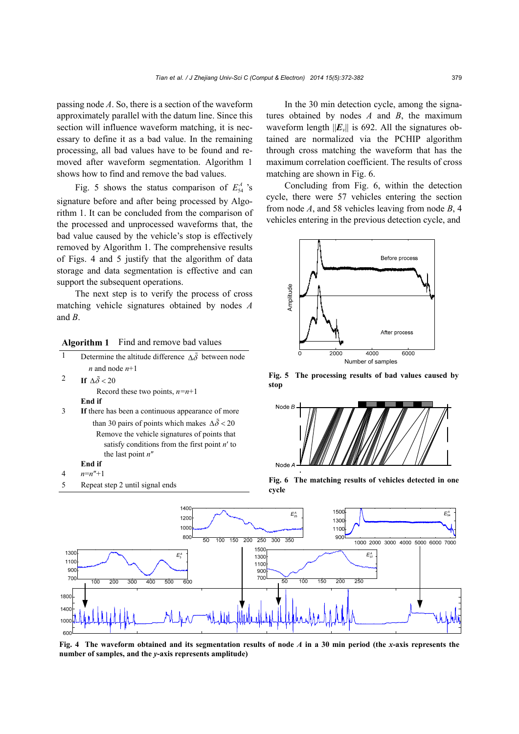passing node *A*. So, there is a section of the waveform approximately parallel with the datum line. Since this section will influence waveform matching, it is necessary to define it as a bad value. In the remaining processing, all bad values have to be found and removed after waveform segmentation. Algorithm 1 shows how to find and remove the bad values.

Fig. 5 shows the status comparison of  $E_{54}^A$  's signature before and after being processed by Algorithm 1. It can be concluded from the comparison of the processed and unprocessed waveforms that, the bad value caused by the vehicle's stop is effectively removed by Algorithm 1. The comprehensive results of Figs. 4 and 5 justify that the algorithm of data storage and data segmentation is effective and can support the subsequent operations.

The next step is to verify the process of cross matching vehicle signatures obtained by nodes *A* and *B*.

| <b>Algorithm 1</b> | Find and remove bad values |  |
|--------------------|----------------------------|--|
|--------------------|----------------------------|--|

|   | Determine the altitude difference $\Lambda \tilde{\delta}$ between node |
|---|-------------------------------------------------------------------------|
|   | <i>n</i> and node $n+1$                                                 |
| 2 | If $\Delta \tilde{\delta} < 20$                                         |
|   | Record these two points, $n=n+1$                                        |
|   | End if                                                                  |
| 3 | If there has been a continuous appearance of more                       |
|   | than 30 pairs of points which makes $\Delta \tilde{\delta} < 20$        |
|   | Remove the vehicle signatures of points that                            |
|   | satisfy conditions from the first point $n'$ to                         |
|   | the last point $n''$                                                    |

**End if** 

4 *n*=*n*″+1

5 Repeat step 2 until signal ends

In the 30 min detection cycle, among the signatures obtained by nodes *A* and *B*, the maximum waveform length  $||E_v||$  is 692. All the signatures obtained are normalized via the PCHIP algorithm through cross matching the waveform that has the maximum correlation coefficient. The results of cross matching are shown in Fig. 6.

Concluding from Fig. 6, within the detection cycle, there were 57 vehicles entering the section from node *A*, and 58 vehicles leaving from node *B*, 4 vehicles entering in the previous detection cycle, and



**Fig. 5 The processing results of bad values caused by stop** 







**Fig. 4 The waveform obtained and its segmentation results of node** *A* **in a 30 min period (the** *x***-axis represents the number of samples, and the** *y***-axis represents amplitude)**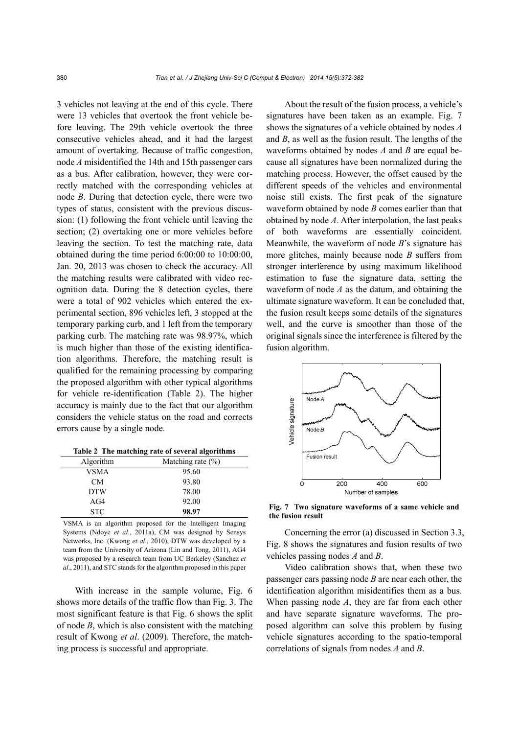3 vehicles not leaving at the end of this cycle. There were 13 vehicles that overtook the front vehicle before leaving. The 29th vehicle overtook the three consecutive vehicles ahead, and it had the largest amount of overtaking. Because of traffic congestion, node *A* misidentified the 14th and 15th passenger cars as a bus. After calibration, however, they were correctly matched with the corresponding vehicles at node *B*. During that detection cycle, there were two types of status, consistent with the previous discussion: (1) following the front vehicle until leaving the section; (2) overtaking one or more vehicles before leaving the section. To test the matching rate, data obtained during the time period 6:00:00 to 10:00:00, Jan. 20, 2013 was chosen to check the accuracy. All the matching results were calibrated with video recognition data. During the 8 detection cycles, there were a total of 902 vehicles which entered the experimental section, 896 vehicles left, 3 stopped at the temporary parking curb, and 1 left from the temporary parking curb. The matching rate was 98.97%, which is much higher than those of the existing identification algorithms. Therefore, the matching result is qualified for the remaining processing by comparing the proposed algorithm with other typical algorithms for vehicle re-identification (Table 2). The higher accuracy is mainly due to the fact that our algorithm considers the vehicle status on the road and corrects errors cause by a single node.

|  |  | Table 2 The matching rate of several algorithms |
|--|--|-------------------------------------------------|
|  |  |                                                 |

| Algorithm  | Matching rate $(\% )$ |  |  |
|------------|-----------------------|--|--|
| VSMA       | 95.60                 |  |  |
| CM.        | 93.80                 |  |  |
| <b>DTW</b> | 78.00                 |  |  |
| AG4        | 92.00                 |  |  |
| <b>STC</b> | 98.97                 |  |  |

VSMA is an algorithm proposed for the Intelligent Imaging Systems (Ndoye *et al*., 2011a), CM was designed by Sensys Networks, Inc. (Kwong *et al*., 2010), DTW was developed by a team from the University of Arizona (Lin and Tong, 2011), AG4 was proposed by a research team from UC Berkeley (Sanchez *et al*., 2011), and STC stands for the algorithm proposed in this paper

With increase in the sample volume, Fig. 6 shows more details of the traffic flow than Fig. 3. The most significant feature is that Fig. 6 shows the split of node *B*, which is also consistent with the matching result of Kwong *et al*. (2009). Therefore, the matching process is successful and appropriate.

About the result of the fusion process, a vehicle's signatures have been taken as an example. Fig. 7 shows the signatures of a vehicle obtained by nodes *A*  and *B*, as well as the fusion result. The lengths of the waveforms obtained by nodes *A* and *B* are equal because all signatures have been normalized during the matching process. However, the offset caused by the different speeds of the vehicles and environmental noise still exists. The first peak of the signature waveform obtained by node *B* comes earlier than that obtained by node *A*. After interpolation, the last peaks of both waveforms are essentially coincident. Meanwhile, the waveform of node *B*'s signature has more glitches, mainly because node *B* suffers from stronger interference by using maximum likelihood estimation to fuse the signature data, setting the waveform of node *A* as the datum, and obtaining the ultimate signature waveform. It can be concluded that, the fusion result keeps some details of the signatures well, and the curve is smoother than those of the original signals since the interference is filtered by the fusion algorithm.



**Fig. 7 Two signature waveforms of a same vehicle and the fusion result** 

Concerning the error (a) discussed in Section 3.3, Fig. 8 shows the signatures and fusion results of two vehicles passing nodes *A* and *B*.

Video calibration shows that, when these two passenger cars passing node *B* are near each other, the identification algorithm misidentifies them as a bus. When passing node *A*, they are far from each other and have separate signature waveforms. The proposed algorithm can solve this problem by fusing vehicle signatures according to the spatio-temporal correlations of signals from nodes *A* and *B*.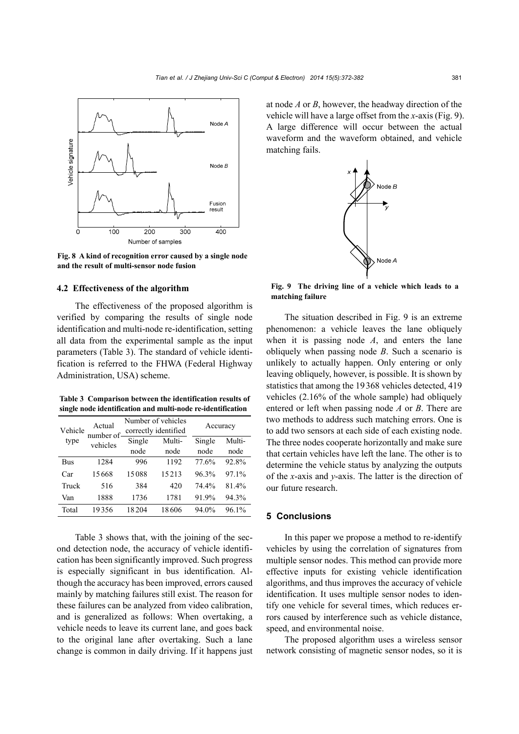

**Fig. 8 A kind of recognition error caused by a single node and the result of multi-sensor node fusion** 

#### **4.2 Effectiveness of the algorithm**

The effectiveness of the proposed algorithm is verified by comparing the results of single node identification and multi-node re-identification, setting all data from the experimental sample as the input parameters (Table 3). The standard of vehicle identification is referred to the FHWA (Federal Highway Administration, USA) scheme.

**Table 3 Comparison between the identification results of single node identification and multi-node re-identification** 

| Vehicle<br>type | Actual<br>number of-<br>vehicles | Number of vehicles<br>correctly identified |                | Accuracy       |                |
|-----------------|----------------------------------|--------------------------------------------|----------------|----------------|----------------|
|                 |                                  | Single<br>node                             | Multi-<br>node | Single<br>node | Multi-<br>node |
| Bus             | 1284                             | 996                                        | 1192           | 77.6%          | 92.8%          |
| Car             | 15668                            | 15088                                      | 15213          | 96.3%          | 97.1%          |
| Truck           | 516                              | 384                                        | 420            | 74 4%          | 81.4%          |
| Van             | 1888                             | 1736                                       | 1781           | 91.9%          | 94.3%          |
| Total           | 19356                            | 18204                                      | 18606          | 94.0%          | 96.1%          |

Table 3 shows that, with the joining of the second detection node, the accuracy of vehicle identification has been significantly improved. Such progress is especially significant in bus identification. Although the accuracy has been improved, errors caused mainly by matching failures still exist. The reason for these failures can be analyzed from video calibration, and is generalized as follows: When overtaking, a vehicle needs to leave its current lane, and goes back to the original lane after overtaking. Such a lane change is common in daily driving. If it happens just at node *A* or *B*, however, the headway direction of the vehicle will have a large offset from the *x*-axis (Fig. 9). A large difference will occur between the actual waveform and the waveform obtained, and vehicle matching fails.



**Fig. 9 The driving line of a vehicle which leads to a matching failure** 

The situation described in Fig. 9 is an extreme phenomenon: a vehicle leaves the lane obliquely when it is passing node *A*, and enters the lane obliquely when passing node *B*. Such a scenario is unlikely to actually happen. Only entering or only leaving obliquely, however, is possible. It is shown by statistics that among the 19368 vehicles detected, 419 vehicles (2.16% of the whole sample) had obliquely entered or left when passing node *A* or *B*. There are two methods to address such matching errors. One is to add two sensors at each side of each existing node. The three nodes cooperate horizontally and make sure that certain vehicles have left the lane. The other is to determine the vehicle status by analyzing the outputs of the *x*-axis and *y*-axis. The latter is the direction of our future research.

# **5 Conclusions**

In this paper we propose a method to re-identify vehicles by using the correlation of signatures from multiple sensor nodes. This method can provide more effective inputs for existing vehicle identification algorithms, and thus improves the accuracy of vehicle identification. It uses multiple sensor nodes to identify one vehicle for several times, which reduces errors caused by interference such as vehicle distance, speed, and environmental noise.

The proposed algorithm uses a wireless sensor network consisting of magnetic sensor nodes, so it is